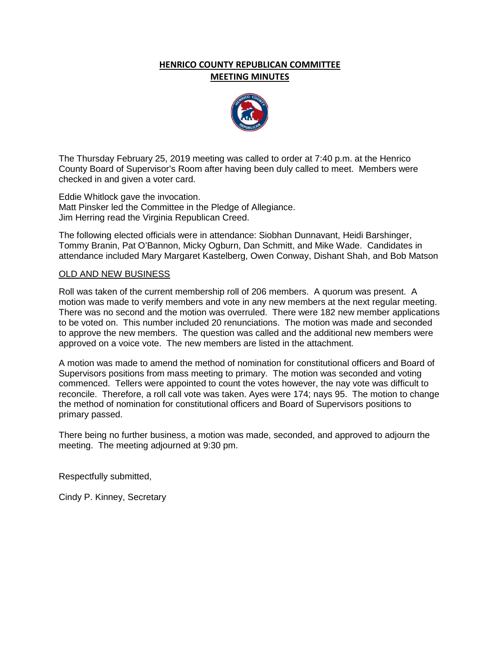## **HENRICO COUNTY REPUBLICAN COMMITTEE MEETING MINUTES**



The Thursday February 25, 2019 meeting was called to order at 7:40 p.m. at the Henrico County Board of Supervisor's Room after having been duly called to meet. Members were checked in and given a voter card.

Eddie Whitlock gave the invocation. Matt Pinsker led the Committee in the Pledge of Allegiance. Jim Herring read the Virginia Republican Creed.

The following elected officials were in attendance: Siobhan Dunnavant, Heidi Barshinger, Tommy Branin, Pat O'Bannon, Micky Ogburn, Dan Schmitt, and Mike Wade. Candidates in attendance included Mary Margaret Kastelberg, Owen Conway, Dishant Shah, and Bob Matson

## OLD AND NEW BUSINESS

Roll was taken of the current membership roll of 206 members. A quorum was present. A motion was made to verify members and vote in any new members at the next regular meeting. There was no second and the motion was overruled. There were 182 new member applications to be voted on. This number included 20 renunciations. The motion was made and seconded to approve the new members. The question was called and the additional new members were approved on a voice vote. The new members are listed in the attachment.

A motion was made to amend the method of nomination for constitutional officers and Board of Supervisors positions from mass meeting to primary. The motion was seconded and voting commenced. Tellers were appointed to count the votes however, the nay vote was difficult to reconcile. Therefore, a roll call vote was taken. Ayes were 174; nays 95. The motion to change the method of nomination for constitutional officers and Board of Supervisors positions to primary passed.

There being no further business, a motion was made, seconded, and approved to adjourn the meeting. The meeting adjourned at 9:30 pm.

Respectfully submitted,

Cindy P. Kinney, Secretary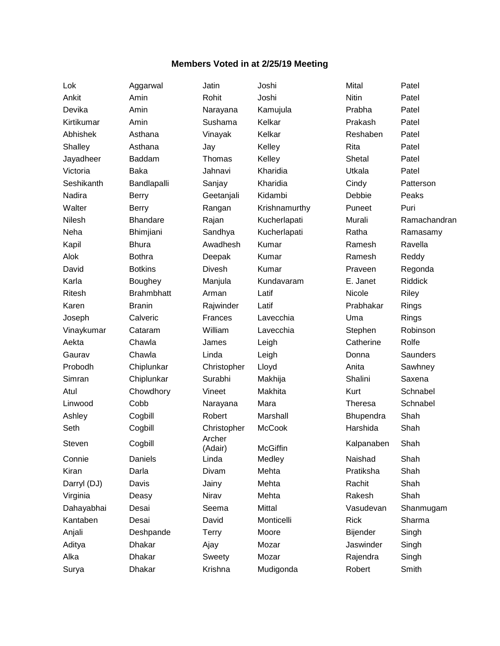## **Members Voted in at 2/25/19 Meeting**

Lok Aggarwal Jatin Joshi Mital Patel Steven Cogbill Archer<br>(Adair)

Surya Dhakar Krishna Mudigonda Robert Smith

Ankit Amin Rohit Joshi Nitin Patel Devika Amin Narayana Kamujula Prabha Patel Kirtikumar Amin Sushama Kelkar Prakash Patel Abhishek Asthana Vinayak Kelkar Reshaben Patel Shalley Asthana Jay Kelley Rita Patel Jayadheer Baddam Thomas Kelley Shetal Patel Victoria Baka Jahnavi Kharidia Utkala Patel Seshikanth Bandlapalli Sanjay Kharidia Cindy Patterson Nadira Berry Geetanjali Kidambi Debbie Peaks Walter Berry **Rangan Krishnamurthy** Puneet Puri Neha Bhimjiani Sandhya Kucherlapati Ratha Ramasamy Kapil Bhura Awadhesh Kumar Ramesh Ravella Alok Bothra Deepak Kumar Ramesh Reddy David Botkins Divesh Kumar Praveen Regonda Karla Boughey Manjula Kundavaram E. Janet Riddick Ritesh Brahmbhatt Arman Latif Nicole Riley Karen Branin Rajwinder Latif Prabhakar Rings Joseph Calveric Frances Lavecchia Uma Rings Vinaykumar Cataram William Lavecchia Stephen Robinson Aekta Chawla James Leigh Catherine Rolfe Gaurav Chawla Linda Leigh Donna Saunders Probodh Chiplunkar Christopher Lloyd Anita Sawhney Simran Chiplunkar Surabhi Makhija Shalini Saxena Atul Chowdhory Vineet Makhita Kurt Schnabel Linwood Cobb Narayana Mara Theresa Schnabel Ashley Cogbill Robert Marshall Bhupendra Shah Seth Cogbill Christopher McCook Harshida Shah McGiffin Kalpanaben Shah Connie Daniels Linda Medley Naishad Shah Kiran Darla Divam Mehta Pratiksha Shah Darryl (DJ) Davis Jainy Mehta Rachit Shah Virginia Deasy Nirav Mehta Rakesh Shah Dahayabhai Desai Seema Mittal Vasudevan Shanmugam Kantaben Desai David Monticelli Rick Sharma Anjali Deshpande Terry Moore Bijender Singh Aditya Dhakar Ajay Mozar Jaswinder Singh Alka Dhakar Sweety Mozar Rajendra Singh

Nilesh Bhandare Rajan Kucherlapati Murali Ramachandran